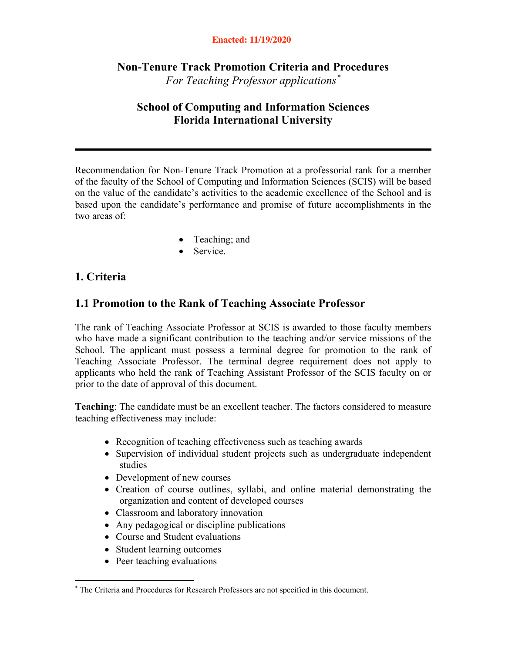#### **Enacted: 11/19/2020**

### **Non-Tenure Track Promotion Criteria and Procedures** *For Teaching Professor applications\**

### **School of Computing and Information Sciences Florida International University**

Recommendation for Non-Tenure Track Promotion at a professorial rank for a member of the faculty of the School of Computing and Information Sciences (SCIS) will be based on the value of the candidate's activities to the academic excellence of the School and is based upon the candidate's performance and promise of future accomplishments in the two areas of:

- Teaching; and
- Service.

### **1. Criteria**

### **1.1 Promotion to the Rank of Teaching Associate Professor**

The rank of Teaching Associate Professor at SCIS is awarded to those faculty members who have made a significant contribution to the teaching and/or service missions of the School. The applicant must possess a terminal degree for promotion to the rank of Teaching Associate Professor. The terminal degree requirement does not apply to applicants who held the rank of Teaching Assistant Professor of the SCIS faculty on or prior to the date of approval of this document.

**Teaching**: The candidate must be an excellent teacher. The factors considered to measure teaching effectiveness may include:

- Recognition of teaching effectiveness such as teaching awards
- Supervision of individual student projects such as undergraduate independent studies
- Development of new courses
- Creation of course outlines, syllabi, and online material demonstrating the organization and content of developed courses
- Classroom and laboratory innovation
- Any pedagogical or discipline publications
- Course and Student evaluations
- Student learning outcomes
- Peer teaching evaluations

<sup>\*</sup> The Criteria and Procedures for Research Professors are not specified in this document.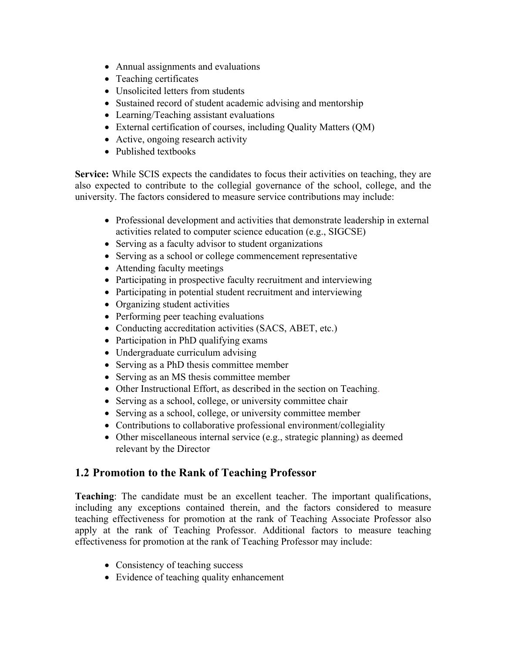- Annual assignments and evaluations
- Teaching certificates
- Unsolicited letters from students
- Sustained record of student academic advising and mentorship
- Learning/Teaching assistant evaluations
- External certification of courses, including Quality Matters (QM)
- Active, ongoing research activity
- Published textbooks

**Service:** While SCIS expects the candidates to focus their activities on teaching, they are also expected to contribute to the collegial governance of the school, college, and the university. The factors considered to measure service contributions may include:

- Professional development and activities that demonstrate leadership in external activities related to computer science education (e.g., SIGCSE)
- Serving as a faculty advisor to student organizations
- Serving as a school or college commencement representative
- Attending faculty meetings
- Participating in prospective faculty recruitment and interviewing
- Participating in potential student recruitment and interviewing
- Organizing student activities
- Performing peer teaching evaluations
- Conducting accreditation activities (SACS, ABET, etc.)
- Participation in PhD qualifying exams
- Undergraduate curriculum advising
- Serving as a PhD thesis committee member
- Serving as an MS thesis committee member
- Other Instructional Effort, as described in the section on Teaching.
- Serving as a school, college, or university committee chair
- Serving as a school, college, or university committee member
- Contributions to collaborative professional environment/collegiality
- Other miscellaneous internal service (e.g., strategic planning) as deemed relevant by the Director

### **1.2 Promotion to the Rank of Teaching Professor**

**Teaching**: The candidate must be an excellent teacher. The important qualifications, including any exceptions contained therein, and the factors considered to measure teaching effectiveness for promotion at the rank of Teaching Associate Professor also apply at the rank of Teaching Professor. Additional factors to measure teaching effectiveness for promotion at the rank of Teaching Professor may include:

- Consistency of teaching success
- Evidence of teaching quality enhancement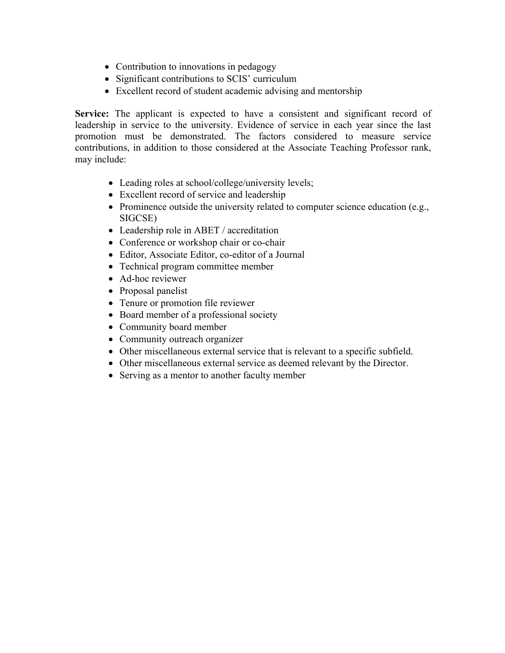- Contribution to innovations in pedagogy
- Significant contributions to SCIS' curriculum
- Excellent record of student academic advising and mentorship

Service: The applicant is expected to have a consistent and significant record of leadership in service to the university. Evidence of service in each year since the last promotion must be demonstrated. The factors considered to measure service contributions, in addition to those considered at the Associate Teaching Professor rank, may include:

- Leading roles at school/college/university levels;
- Excellent record of service and leadership
- Prominence outside the university related to computer science education (e.g., SIGCSE)
- Leadership role in ABET / accreditation
- Conference or workshop chair or co-chair
- Editor, Associate Editor, co-editor of a Journal
- Technical program committee member
- Ad-hoc reviewer
- Proposal panelist
- Tenure or promotion file reviewer
- Board member of a professional society
- Community board member
- Community outreach organizer
- Other miscellaneous external service that is relevant to a specific subfield.
- Other miscellaneous external service as deemed relevant by the Director.
- Serving as a mentor to another faculty member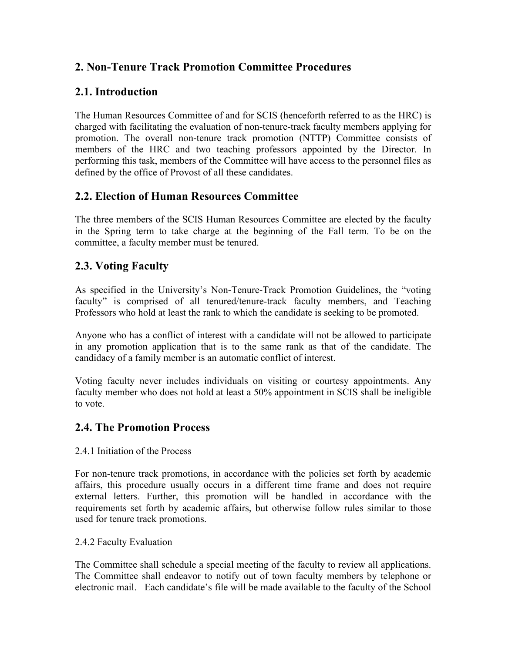# **2. Non-Tenure Track Promotion Committee Procedures**

# **2.1. Introduction**

The Human Resources Committee of and for SCIS (henceforth referred to as the HRC) is charged with facilitating the evaluation of non-tenure-track faculty members applying for promotion. The overall non-tenure track promotion (NTTP) Committee consists of members of the HRC and two teaching professors appointed by the Director. In performing this task, members of the Committee will have access to the personnel files as defined by the office of Provost of all these candidates.

### **2.2. Election of Human Resources Committee**

The three members of the SCIS Human Resources Committee are elected by the faculty in the Spring term to take charge at the beginning of the Fall term. To be on the committee, a faculty member must be tenured.

### **2.3. Voting Faculty**

As specified in the University's Non-Tenure-Track Promotion Guidelines, the "voting faculty" is comprised of all tenured/tenure-track faculty members, and Teaching Professors who hold at least the rank to which the candidate is seeking to be promoted.

Anyone who has a conflict of interest with a candidate will not be allowed to participate in any promotion application that is to the same rank as that of the candidate. The candidacy of a family member is an automatic conflict of interest.

Voting faculty never includes individuals on visiting or courtesy appointments. Any faculty member who does not hold at least a 50% appointment in SCIS shall be ineligible to vote.

### **2.4. The Promotion Process**

#### 2.4.1 Initiation of the Process

For non-tenure track promotions, in accordance with the policies set forth by academic affairs, this procedure usually occurs in a different time frame and does not require external letters. Further, this promotion will be handled in accordance with the requirements set forth by academic affairs, but otherwise follow rules similar to those used for tenure track promotions.

#### 2.4.2 Faculty Evaluation

The Committee shall schedule a special meeting of the faculty to review all applications. The Committee shall endeavor to notify out of town faculty members by telephone or electronic mail. Each candidate's file will be made available to the faculty of the School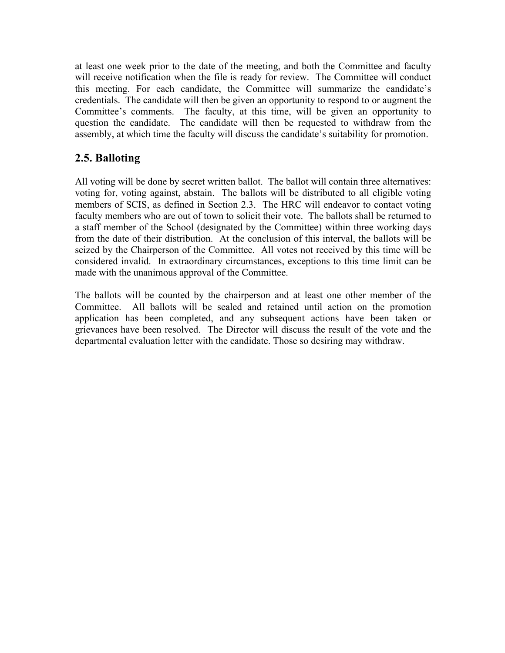at least one week prior to the date of the meeting, and both the Committee and faculty will receive notification when the file is ready for review. The Committee will conduct this meeting. For each candidate, the Committee will summarize the candidate's credentials. The candidate will then be given an opportunity to respond to or augment the Committee's comments. The faculty, at this time, will be given an opportunity to question the candidate. The candidate will then be requested to withdraw from the assembly, at which time the faculty will discuss the candidate's suitability for promotion.

# **2.5. Balloting**

All voting will be done by secret written ballot. The ballot will contain three alternatives: voting for, voting against, abstain. The ballots will be distributed to all eligible voting members of SCIS, as defined in Section 2.3. The HRC will endeavor to contact voting faculty members who are out of town to solicit their vote. The ballots shall be returned to a staff member of the School (designated by the Committee) within three working days from the date of their distribution. At the conclusion of this interval, the ballots will be seized by the Chairperson of the Committee. All votes not received by this time will be considered invalid. In extraordinary circumstances, exceptions to this time limit can be made with the unanimous approval of the Committee.

The ballots will be counted by the chairperson and at least one other member of the Committee. All ballots will be sealed and retained until action on the promotion application has been completed, and any subsequent actions have been taken or grievances have been resolved. The Director will discuss the result of the vote and the departmental evaluation letter with the candidate. Those so desiring may withdraw.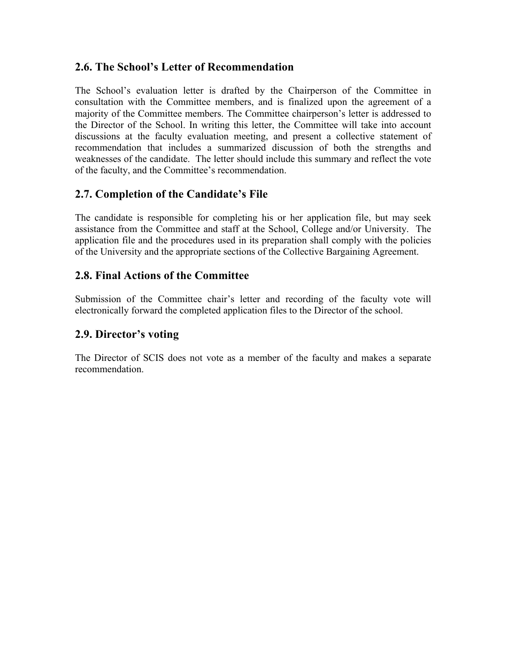### **2.6. The School's Letter of Recommendation**

The School's evaluation letter is drafted by the Chairperson of the Committee in consultation with the Committee members, and is finalized upon the agreement of a majority of the Committee members. The Committee chairperson's letter is addressed to the Director of the School. In writing this letter, the Committee will take into account discussions at the faculty evaluation meeting, and present a collective statement of recommendation that includes a summarized discussion of both the strengths and weaknesses of the candidate. The letter should include this summary and reflect the vote of the faculty, and the Committee's recommendation.

### **2.7. Completion of the Candidate's File**

The candidate is responsible for completing his or her application file, but may seek assistance from the Committee and staff at the School, College and/or University. The application file and the procedures used in its preparation shall comply with the policies of the University and the appropriate sections of the Collective Bargaining Agreement.

### **2.8. Final Actions of the Committee**

Submission of the Committee chair's letter and recording of the faculty vote will electronically forward the completed application files to the Director of the school.

### **2.9. Director's voting**

The Director of SCIS does not vote as a member of the faculty and makes a separate recommendation.